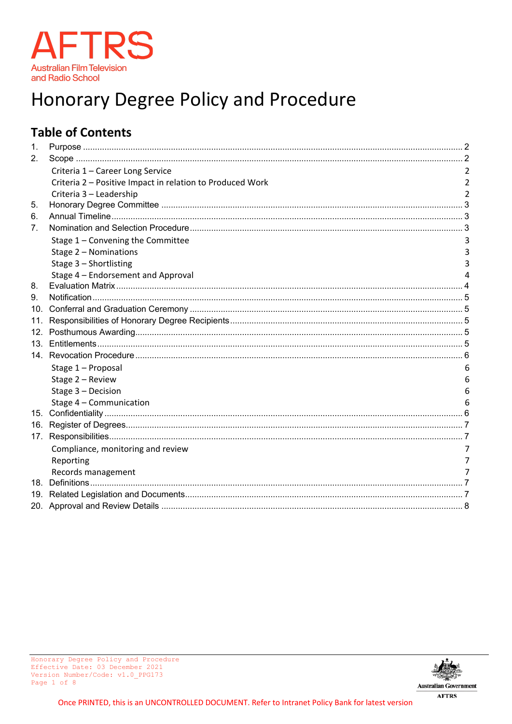

# Honorary Degree Policy and Procedure

# **Table of Contents**

<span id="page-0-0"></span>

| $\mathbf{1}$ . |                                                           |   |
|----------------|-----------------------------------------------------------|---|
| 2.             |                                                           |   |
|                | Criteria 1 - Career Long Service                          |   |
|                | Criteria 2 - Positive Impact in relation to Produced Work |   |
|                | Criteria 3 - Leadership                                   |   |
| 5.             |                                                           |   |
| 6.             |                                                           |   |
| 7.             |                                                           |   |
|                | Stage 1 - Convening the Committee                         |   |
|                | Stage 2 - Nominations                                     |   |
|                | Stage 3 - Shortlisting                                    |   |
|                | Stage 4 - Endorsement and Approval                        |   |
| 8.             |                                                           |   |
| 9.             |                                                           |   |
|                |                                                           |   |
| 11.            |                                                           |   |
| 12.            |                                                           |   |
|                |                                                           |   |
|                |                                                           |   |
|                | Stage 1 - Proposal                                        |   |
|                | Stage 2 - Review                                          | h |
|                | Stage 3 - Decision                                        |   |
|                | Stage 4 - Communication                                   |   |
|                |                                                           |   |
|                |                                                           |   |
|                |                                                           |   |
|                | Compliance, monitoring and review                         |   |
|                | Reporting                                                 |   |
|                | Records management                                        |   |
|                |                                                           |   |
|                |                                                           |   |
|                |                                                           |   |

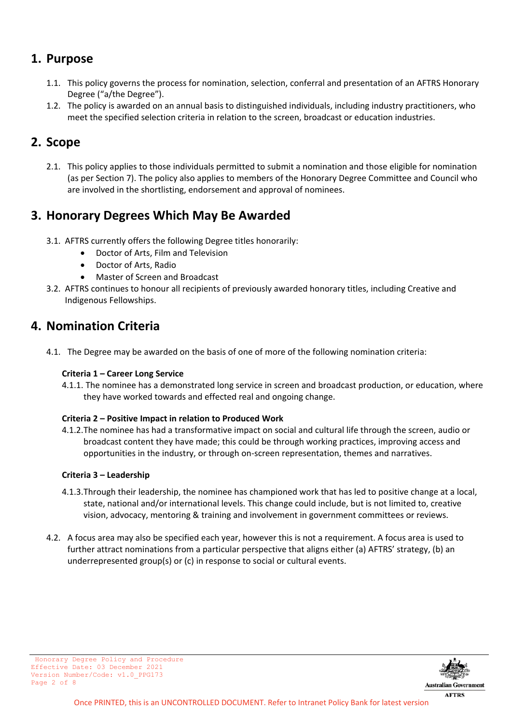### **1. Purpose**

- 1.1. This policy governs the process for nomination, selection, conferral and presentation of an AFTRS Honorary Degree ("a/the Degree").
- <span id="page-1-0"></span>1.2. The policy is awarded on an annual basis to distinguished individuals, including industry practitioners, who meet the specified selection criteria in relation to the screen, broadcast or education industries.

### **2. Scope**

2.1. This policy applies to those individuals permitted to submit a nomination and those eligible for nomination (as per Section 7). The policy also applies to members of the Honorary Degree Committee and Council who are involved in the shortlisting, endorsement and approval of nominees.

### **3. Honorary Degrees Which May Be Awarded**

- 3.1. AFTRS currently offers the following Degree titles honorarily:
	- Doctor of Arts, Film and Television
	- Doctor of Arts, Radio
	- Master of Screen and Broadcast
- 3.2. AFTRS continues to honour all recipients of previously awarded honorary titles, including Creative and Indigenous Fellowships.

### **4. Nomination Criteria**

<span id="page-1-1"></span>4.1. The Degree may be awarded on the basis of one of more of the following nomination criteria:

#### **Criteria 1 – Career Long Service**

4.1.1. The nominee has a demonstrated long service in screen and broadcast production, or education, where they have worked towards and effected real and ongoing change.

#### <span id="page-1-2"></span>**Criteria 2 – Positive Impact in relation to Produced Work**

4.1.2.The nominee has had a transformative impact on social and cultural life through the screen, audio or broadcast content they have made; this could be through working practices, improving access and opportunities in the industry, or through on-screen representation, themes and narratives.

#### <span id="page-1-3"></span>**Criteria 3 – Leadership**

- 4.1.3.Through their leadership, the nominee has championed work that has led to positive change at a local, state, national and/or international levels. This change could include, but is not limited to, creative vision, advocacy, mentoring & training and involvement in government committees or reviews.
- <span id="page-1-4"></span>4.2. A focus area may also be specified each year, however this is not a requirement. A focus area is used to further attract nominations from a particular perspective that aligns either (a) AFTRS' strategy, (b) an underrepresented group(s) or (c) in response to social or cultural events.



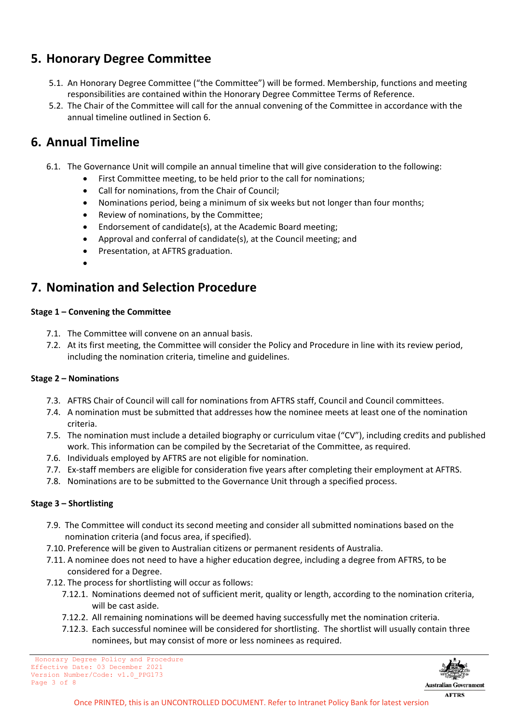# **5. Honorary Degree Committee**

- 5.1. An Honorary Degree Committee ("the Committee") will be formed. Membership, functions and meeting responsibilities are contained within the Honorary Degree Committee Terms of Reference.
- <span id="page-2-0"></span>5.2. The Chair of the Committee will call for the annual convening of the Committee in accordance with the annual timeline outlined in Section 6.

### **6. Annual Timeline**

- 6.1. The Governance Unit will compile an annual timeline that will give consideration to the following:
	- First Committee meeting, to be held prior to the call for nominations;
	- Call for nominations, from the Chair of Council;
	- Nominations period, being a minimum of six weeks but not longer than four months;
	- Review of nominations, by the Committee;
	- Endorsement of candidate(s), at the Academic Board meeting;
	- Approval and conferral of candidate(s), at the Council meeting; and
	- Presentation, at AFTRS graduation.
	- •

# <span id="page-2-1"></span>**7. Nomination and Selection Procedure**

#### <span id="page-2-2"></span>**Stage 1 – Convening the Committee**

- 7.1. The Committee will convene on an annual basis.
- 7.2. At its first meeting, the Committee will consider the Policy and Procedure in line with its review period, including the nomination criteria, timeline and guidelines.

#### <span id="page-2-3"></span>**Stage 2 – Nominations**

- 7.3. AFTRS Chair of Council will call for nominations from AFTRS staff, Council and Council committees.
- 7.4. A nomination must be submitted that addresses how the nominee meets at least one of the nomination criteria.
- 7.5. The nomination must include a detailed biography or curriculum vitae ("CV"), including credits and published work. This information can be compiled by the Secretariat of the Committee, as required.
- 7.6. Individuals employed by AFTRS are not eligible for nomination.
- 7.7. Ex-staff members are eligible for consideration five years after completing their employment at AFTRS.
- 7.8. Nominations are to be submitted to the Governance Unit through a specified process.

#### <span id="page-2-4"></span>**Stage 3 – Shortlisting**

- 7.9. The Committee will conduct its second meeting and consider all submitted nominations based on the nomination criteria (and focus area, if specified).
- 7.10. Preference will be given to Australian citizens or permanent residents of Australia.
- 7.11. A nominee does not need to have a higher education degree, including a degree from AFTRS, to be considered for a Degree.
- 7.12. The process for shortlisting will occur as follows:
	- 7.12.1. Nominations deemed not of sufficient merit, quality or length, according to the nomination criteria, will be cast aside.
	- 7.12.2. All remaining nominations will be deemed having successfully met the nomination criteria.
	- 7.12.3. Each successful nominee will be considered for shortlisting. The shortlist will usually contain three nominees, but may consist of more or less nominees as required.

Honorary Degree Policy and Procedure Effective Date: 03 December 2021 Version Number/Code: v1.0\_PPG173 Page 3 of 8

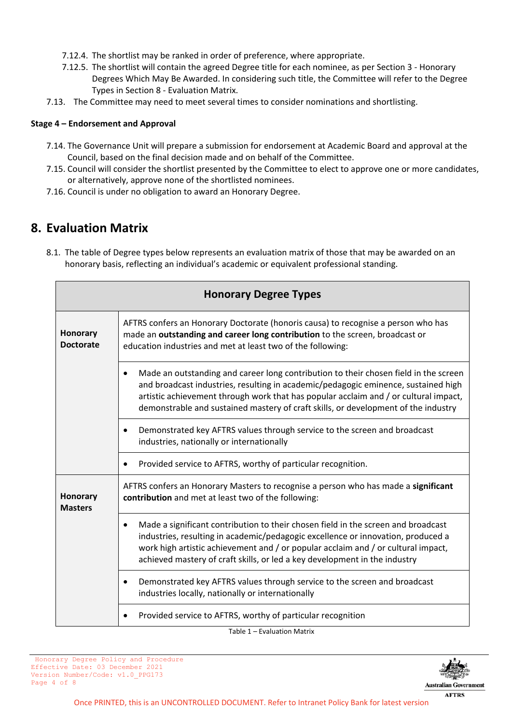- 7.12.4. The shortlist may be ranked in order of preference, where appropriate.
- <span id="page-3-0"></span>7.12.5. The shortlist will contain the agreed Degree title for each nominee, as per Section 3 - Honorary Degrees Which May Be Awarded. In considering such title, the Committee will refer to the Degree Types in Section 8 - Evaluation Matrix.
- 7.13. The Committee may need to meet several times to consider nominations and shortlisting.

#### **Stage 4 – Endorsement and Approval**

- 7.14. The Governance Unit will prepare a submission for endorsement at Academic Board and approval at the Council, based on the final decision made and on behalf of the Committee.
- 7.15. Council will consider the shortlist presented by the Committee to elect to approve one or more candidates, or alternatively, approve none of the shortlisted nominees.
- 7.16. Council is under no obligation to award an Honorary Degree.

### <span id="page-3-1"></span>**8. Evaluation Matrix**

8.1. The table of Degree types below represents an evaluation matrix of those that may be awarded on an honorary basis, reflecting an individual's academic or equivalent professional standing.

| <b>Honorary Degree Types</b>        |                                                                                                                                                                                                                                                                                                                                                          |  |  |  |
|-------------------------------------|----------------------------------------------------------------------------------------------------------------------------------------------------------------------------------------------------------------------------------------------------------------------------------------------------------------------------------------------------------|--|--|--|
| <b>Honorary</b><br><b>Doctorate</b> | AFTRS confers an Honorary Doctorate (honoris causa) to recognise a person who has<br>made an outstanding and career long contribution to the screen, broadcast or<br>education industries and met at least two of the following:                                                                                                                         |  |  |  |
|                                     | Made an outstanding and career long contribution to their chosen field in the screen<br>and broadcast industries, resulting in academic/pedagogic eminence, sustained high<br>artistic achievement through work that has popular acclaim and / or cultural impact,<br>demonstrable and sustained mastery of craft skills, or development of the industry |  |  |  |
|                                     | Demonstrated key AFTRS values through service to the screen and broadcast<br>industries, nationally or internationally                                                                                                                                                                                                                                   |  |  |  |
|                                     | Provided service to AFTRS, worthy of particular recognition.<br>$\bullet$                                                                                                                                                                                                                                                                                |  |  |  |
| <b>Honorary</b><br><b>Masters</b>   | AFTRS confers an Honorary Masters to recognise a person who has made a significant<br>contribution and met at least two of the following:                                                                                                                                                                                                                |  |  |  |
|                                     | Made a significant contribution to their chosen field in the screen and broadcast<br>٠<br>industries, resulting in academic/pedagogic excellence or innovation, produced a<br>work high artistic achievement and / or popular acclaim and / or cultural impact,<br>achieved mastery of craft skills, or led a key development in the industry            |  |  |  |
|                                     | Demonstrated key AFTRS values through service to the screen and broadcast<br>industries locally, nationally or internationally                                                                                                                                                                                                                           |  |  |  |
|                                     | Provided service to AFTRS, worthy of particular recognition                                                                                                                                                                                                                                                                                              |  |  |  |
|                                     | $T_2$ blo 1 $\equiv$ Evaluation Matrix                                                                                                                                                                                                                                                                                                                   |  |  |  |

<span id="page-3-2"></span>Table 1 – Evaluation Matrix

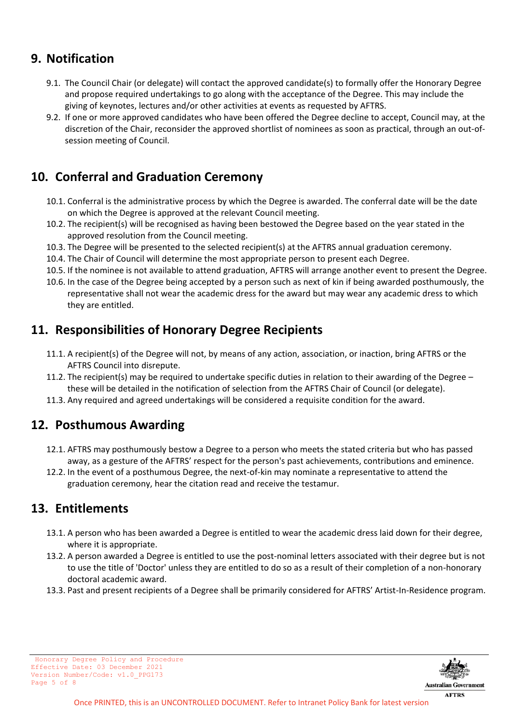### **9. Notification**

- 9.1. The Council Chair (or delegate) will contact the approved candidate(s) to formally offer the Honorary Degree and propose required undertakings to go along with the acceptance of the Degree. This may include the giving of keynotes, lectures and/or other activities at events as requested by AFTRS.
- 9.2. If one or more approved candidates who have been offered the Degree decline to accept, Council may, at the discretion of the Chair, reconsider the approved shortlist of nominees as soon as practical, through an out-ofsession meeting of Council.

# <span id="page-4-0"></span>**10. Conferral and Graduation Ceremony**

- 10.1. Conferral is the administrative process by which the Degree is awarded. The conferral date will be the date on which the Degree is approved at the relevant Council meeting.
- 10.2. The recipient(s) will be recognised as having been bestowed the Degree based on the year stated in the approved resolution from the Council meeting.
- 10.3. The Degree will be presented to the selected recipient(s) at the AFTRS annual graduation ceremony.
- 10.4. The Chair of Council will determine the most appropriate person to present each Degree.
- 10.5. If the nominee is not available to attend graduation, AFTRS will arrange another event to present the Degree.
- 10.6. In the case of the Degree being accepted by a person such as next of kin if being awarded posthumously, the representative shall not wear the academic dress for the award but may wear any academic dress to which they are entitled.

### <span id="page-4-1"></span>**11. Responsibilities of Honorary Degree Recipients**

- 11.1. A recipient(s) of the Degree will not, by means of any action, association, or inaction, bring AFTRS or the AFTRS Council into disrepute.
- 11.2. The recipient(s) may be required to undertake specific duties in relation to their awarding of the Degree  $$ these will be detailed in the notification of selection from the AFTRS Chair of Council (or delegate).
- 11.3. Any required and agreed undertakings will be considered a requisite condition for the award.

### <span id="page-4-2"></span>**12. Posthumous Awarding**

- 12.1. AFTRS may posthumously bestow a Degree to a person who meets the stated criteria but who has passed away, as a gesture of the AFTRS' respect for the person's past achievements, contributions and eminence.
- 12.2. In the event of a posthumous Degree, the next-of-kin may nominate a representative to attend the graduation ceremony, hear the citation read and receive the testamur.

### <span id="page-4-3"></span>**13. Entitlements**

- 13.1. A person who has been awarded a Degree is entitled to wear the academic dress laid down for their degree, where it is appropriate.
- 13.2. A person awarded a Degree is entitled to use the post-nominal letters associated with their degree but is not to use the title of 'Doctor' unless they are entitled to do so as a result of their completion of a non-honorary doctoral academic award.
- <span id="page-4-4"></span>13.3. Past and present recipients of a Degree shall be primarily considered for AFTRS' Artist-In-Residence program.

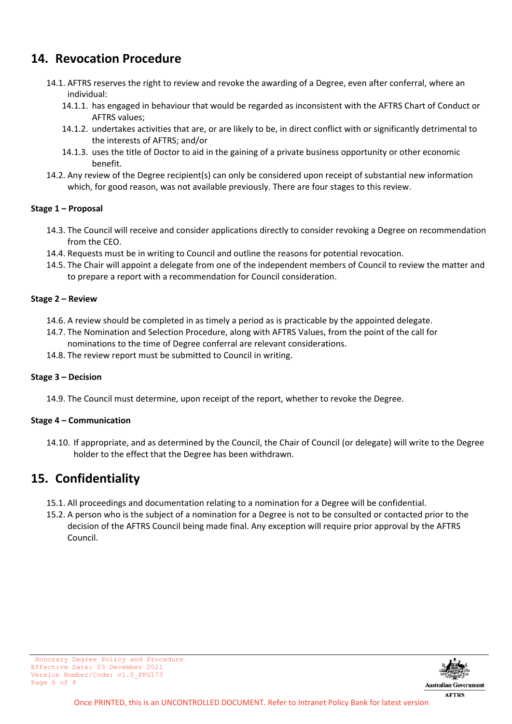### **14. Revocation Procedure**

- 14.1. AFTRS reserves the right to review and revoke the awarding of a Degree, even after conferral, where an individual:
	- 14.1.1. has engaged in behaviour that would be regarded as inconsistent with the AFTRS Chart of Conduct or AFTRS values;
	- 14.1.2. undertakes activities that are, or are likely to be, in direct conflict with or significantly detrimental to the interests of AFTRS; and/or
	- 14.1.3. uses the title of Doctor to aid in the gaining of a private business opportunity or other economic benefit.
- 14.2. Any review of the Degree recipient(s) can only be considered upon receipt of substantial new information which, for good reason, was not available previously. There are four stages to this review.

#### <span id="page-5-0"></span>**Stage 1 – Proposal**

- 14.3. The Council will receive and consider applications directly to consider revoking a Degree on recommendation from the CEO.
- 14.4. Requests must be in writing to Council and outline the reasons for potential revocation.
- 14.5. The Chair will appoint a delegate from one of the independent members of Council to review the matter and to prepare a report with a recommendation for Council consideration.

#### <span id="page-5-1"></span>**Stage 2 – Review**

- 14.6. A review should be completed in as timely a period as is practicable by the appointed delegate.
- 14.7. The Nomination and Selection Procedure, along with AFTRS Values, from the point of the call for nominations to the time of Degree conferral are relevant considerations.
- 14.8. The review report must be submitted to Council in writing.

#### <span id="page-5-2"></span>**Stage 3 – Decision**

14.9. The Council must determine, upon receipt of the report, whether to revoke the Degree.

#### <span id="page-5-3"></span>**Stage 4 – Communication**

14.10. If appropriate, and as determined by the Council, the Chair of Council (or delegate) will write to the Degree holder to the effect that the Degree has been withdrawn.

### <span id="page-5-4"></span>**15. Confidentiality**

- 15.1. All proceedings and documentation relating to a nomination for a Degree will be confidential.
- <span id="page-5-5"></span>15.2. A person who is the subject of a nomination for a Degree is not to be consulted or contacted prior to the decision of the AFTRS Council being made final. Any exception will require prior approval by the AFTRS Council.



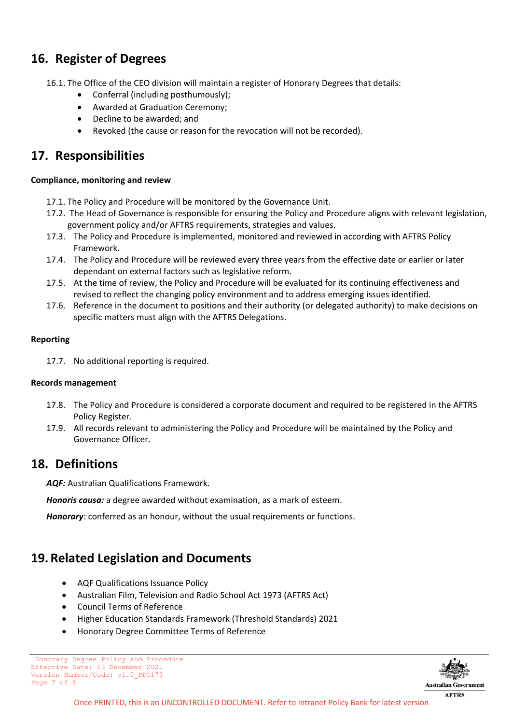### **16. Register of Degrees**

- 16.1. The Office of the CEO division will maintain a register of Honorary Degrees that details:
	- Conferral (including posthumously);
	- Awarded at Graduation Ceremony;
	- Decline to be awarded; and
	- Revoked (the cause or reason for the revocation will not be recorded).

### <span id="page-6-0"></span>**17. Responsibilities**

#### <span id="page-6-1"></span>**Compliance, monitoring and review**

- 17.1. The Policy and Procedure will be monitored by the Governance Unit.
- 17.2. The Head of Governance is responsible for ensuring the Policy and Procedure aligns with relevant legislation, government policy and/or AFTRS requirements, strategies and values.
- 17.3. The Policy and Procedure is implemented, monitored and reviewed in according with AFTRS Policy Framework.
- 17.4. The Policy and Procedure will be reviewed every three years from the effective date or earlier or later dependant on external factors such as legislative reform.
- 17.5. At the time of review, the Policy and Procedure will be evaluated for its continuing effectiveness and revised to reflect the changing policy environment and to address emerging issues identified.
- 17.6. Reference in the document to positions and their authority (or delegated authority) to make decisions on specific matters must align with the AFTRS Delegations.

#### <span id="page-6-2"></span>**Reporting**

17.7. No additional reporting is required.

#### <span id="page-6-3"></span>**Records management**

- 17.8. The Policy and Procedure is considered a corporate document and required to be registered in the AFTRS Policy Register.
- 17.9. All records relevant to administering the Policy and Procedure will be maintained by the Policy and Governance Officer.

#### <span id="page-6-4"></span>**18. Definitions**

*AQF:* Australian Qualifications Framework.

*Honoris causa:* a degree awarded without examination, as a mark of esteem.

*Honorary*: conferred as an honour, without the usual requirements or functions.

### <span id="page-6-5"></span>**19.Related Legislation and Documents**

- AQF Qualifications Issuance Policy
- Australian Film, Television and Radio School Act 1973 (AFTRS Act)
- Council Terms of Reference
- Higher Education Standards Framework (Threshold Standards) 2021
- Honorary Degree Committee Terms of Reference